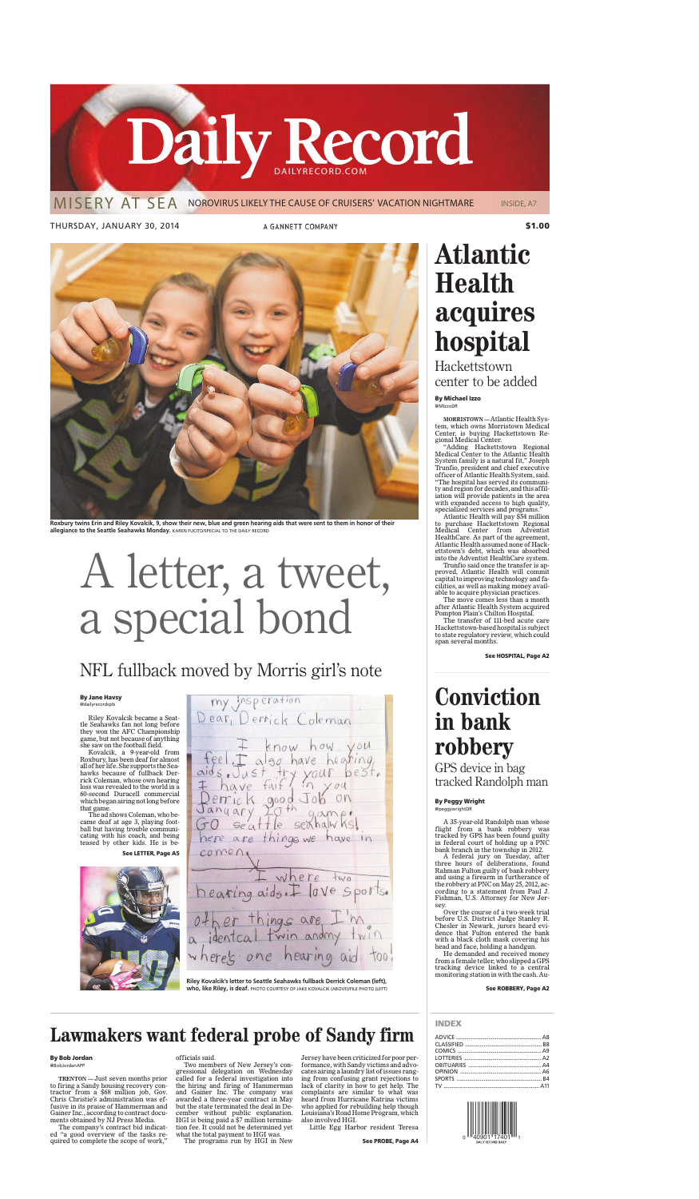Riley Kovalcik became a Seattle Seahawks fan not long before they won the AFC Championship game, but not because of anything she saw on the football field.

Kovalcik, a 9-year-old from Roxbury, has been deaf for almost all of her life. She supports the Seahawks because of fullback Derrick Coleman, whose own hearing loss was revealed to the world in a 60-second Duracell commercial which began airing not long before that game.

# A letter, a tweet, a special bond



**Roxbury twins Erin and Riley Kovalcik, 9, show their new, blue and green hearing aids that were sent to them in honor of their allegiance to the Seattle Seahawks Monday.** KAREN FUCITO/SPECIAL TO THE DAILY RECORD

The ad shows Coleman, who became deaf at age 3, playing football but having trouble communicating with his coach, and being teased by other kids. He is be-**See LETTER, Page A5**

my insperation<br>Dear, Derrich Coleman feel I also have hearing<br>aids. Just try your best.<br>I have fait in your best.<br>Perrick good Job on<br>Sanyary 20th game:<br>GO seattle seahalwhs! nere are things we have in  $comen$ where  $+w_0$ hearing aids. 10Ve Sports. things are<br>al twin and one hearing



## NFL fullback moved by Morris girl's note

## **By Jane Havsy**

@dailyrecordspts

**Riley Kovalcik's letter to Seattle Seahawks fullback Derrick Coleman (left), who, like Riley, is deaf.** PHOTO COURTESY OF JAKE KOVALCIK (ABOVE)/FILE PHOTO (LEFT)